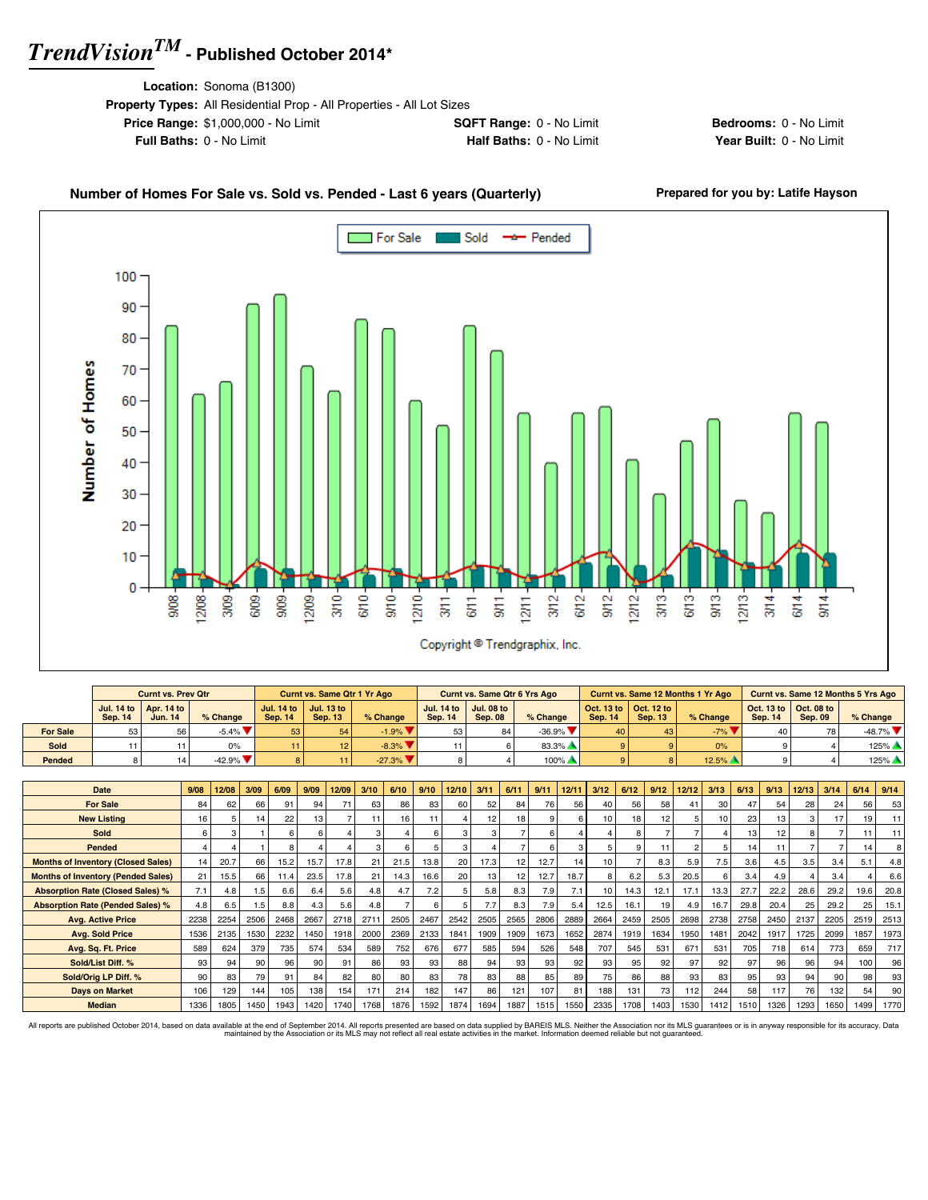**Location:** Sonoma (B1300)

| <b>Property Types:</b> All Residential Prop - All Properties - All Lot Sizes |                                 |
|------------------------------------------------------------------------------|---------------------------------|
| <b>Price Range: \$1,000,000 - No Limit</b>                                   | <b>SQFT Range: 0 - No Limit</b> |
| <b>Full Baths: 0 - No Limit</b>                                              | Half Baths: 0 - No Limit        |

**Bedrooms:** 0 - No Limit **Year Built: 0 - No Limit** 

### Number of Homes For Sale vs. Sold vs. Pended - Last 6 years (Quarterly) Prepared for you by: Latife Hayson



|                 |         | <b>Curnt vs. Prev Otr</b>                               |                               |                 | <b>Curnt vs. Same Qtr 1 Yr Ago</b>          |                                |                | Curnt vs. Same Qtr 6 Yrs Ago                            |                                |                |                                                          | Curnt vs. Same 12 Months 1 Yr Ago |                |                                                                 | Curnt vs. Same 12 Months 5 Yrs Ago |
|-----------------|---------|---------------------------------------------------------|-------------------------------|-----------------|---------------------------------------------|--------------------------------|----------------|---------------------------------------------------------|--------------------------------|----------------|----------------------------------------------------------|-----------------------------------|----------------|-----------------------------------------------------------------|------------------------------------|
|                 | Sep. 14 | Jul. 14 to $\vert$ Apr. 14 to $\vert$<br><b>Jun. 14</b> | % Change                      | <b>Sep. 14</b>  | Jul. 14 to   Jul. 13 to  <br><b>Sep. 13</b> | % Change                       | <b>Sep. 14</b> | Jul. 14 to $\vert$ Jul. 08 to $\vert$<br><b>Sep. 08</b> | % Change                       | <b>Sep. 14</b> | $\vert$ Oct. 13 to $\vert$ Oct. 12 to $\vert$<br>Sep. 13 | % Change                          | <b>Sep. 14</b> | $\vert$ Oct. 13 to $\vert$ Oct. 08 to $\vert$<br><b>Sep. 09</b> | $%$ Change                         |
| <b>For Sale</b> | 53      | 56                                                      | $-5.4\%$ $\blacktriangledown$ | 53 <sub>1</sub> | <b>54</b>                                   | $-1.9\%$                       |                | 84                                                      | $-36.9\%$ $\blacktriangledown$ | 40             |                                                          | $-7\%$ $\blacktriangledown$       | 40             | 78                                                              | $-48.7\%$ $\blacksquare$           |
| Sold            |         |                                                         | 0%                            |                 |                                             | $-8.3\%$                       |                |                                                         | $83.3\%$ $\triangle$           |                |                                                          | 0%                                |                |                                                                 | $125%$ $\triangle$                 |
| Pended          |         |                                                         | $-42.9\%$ $\blacksquare$      |                 |                                             | $-27.3\%$ $\blacktriangledown$ |                |                                                         | $100\%$                        |                |                                                          | 12.5%                             |                |                                                                 | $125%$ $\triangle$                 |

| <b>Date</b>                               | 9/08 | 12/08 | 3/09            | 6/09 | 9/09            | 12/09 | 3/10 | 6/10 | 9/10 | 12/10 | 3/11            | 6/11            | 9/11 | 12/11 | 3/12 | 6/12 | 9/12 | 12/12 | 3/13 | 6/13 | 9/13 | 12/13 | 3/14 | 6/14 | 9/14            |
|-------------------------------------------|------|-------|-----------------|------|-----------------|-------|------|------|------|-------|-----------------|-----------------|------|-------|------|------|------|-------|------|------|------|-------|------|------|-----------------|
| <b>For Sale</b>                           | 84   | 62    | 66              | 91   | 94              | 71    | 63   | 86   | 83   | 60    | 52              | 84              | 76   | 56    | 40   | 56   | 58   |       | 30   | 47   | 54   | 28    | 24   | 56   | 53              |
| <b>New Listing</b>                        | 16   |       | 14 <sub>1</sub> | 22   | 13 <sub>1</sub> |       | 11   | 16   | 11   |       | 12 <sub>1</sub> | 18              |      |       | 10   | 18   | 12   |       | 10   | 23   | 13   |       | 17   | 19   | 11              |
| Sold                                      | 6    |       |                 |      |                 |       | Э    |      | 6    | з     |                 |                 |      |       |      |      |      |       |      | 13   | 12   |       |      | 11   | 11              |
| Pended                                    | Δ    |       |                 |      |                 |       | 3    | 6    |      | 3     |                 |                 |      |       |      | 9    | 11   |       |      | 14   | 11   |       |      | 14   | 8 <sup>1</sup>  |
| <b>Months of Inventory (Closed Sales)</b> | 14   | 20.7  | 66              | 15.2 | 15.7            | 17.8  | 21   | 21.5 | 13.8 | 20    | 17.3            | 12 <sub>1</sub> | 12.7 | 14    | 10   |      | 8.3  | 5.9   | 7.5  | 3.6  | 4.5  | 3.5   | 3.4  | 5.1  | 4.8             |
| <b>Months of Inventory (Pended Sales)</b> | 21   | 15.5  | 66              | 11.4 | 23.5            | 17.8  | 21   | 14.3 | 16.6 | 20    | 13              | 12              | 12.7 | 18.7  |      | 6.2  | 5.3  | 20.5  | 6    | 3.4  | 4.9  |       | 3.4  |      | 6.6             |
| <b>Absorption Rate (Closed Sales) %</b>   | 7.1  | 4.8   | 1.5             | 6.6  | 6.4             | 5.6   | 4.8  | 4.7  | 7.2  |       | 5.8             | 8.3             | 7.9  | 7.1   | 10   | 14.3 | 12.1 | 17.1  | 13.3 | 27.7 | 22.2 | 28.6  | 29.2 | 19.6 | 20.8            |
| <b>Absorption Rate (Pended Sales) %</b>   | 4.8  | 6.5   | 1.5             | 8.8  | 4.3             | 5.6   | 4.8  |      | 6    |       | 7.7             | 8.3             | 7.9  | 5.4   | 12.5 | 16.1 | 19   | 4.9   | 16.7 | 29.8 | 20.4 | 25    | 29.2 | 25   | 15.1            |
| <b>Avg. Active Price</b>                  | 2238 | 2254  | 2506            | 2468 | 2667            | 2718  | 2711 | 2505 | 2467 | 2542  | 2505            | 2565            | 2806 | 2889  | 2664 | 2459 | 2505 | 2698  | 2738 | 2758 | 2450 | 2137  | 2205 | 2519 | 2513            |
| <b>Avg. Sold Price</b>                    | 1536 | 2135  | 1530            | 2232 | 1450            | 1918  | 2000 | 2369 | 2133 | 1841  | 1909            | 1909            | 1673 | 1652  | 2874 | 1919 | 1634 | 1950  | 1481 | 2042 | 1917 | 1725  | 2099 | 1857 | 1973            |
| Avg. Sq. Ft. Price                        | 589  | 624   | 379             | 735  | 574             | 534   | 589  | 752  | 676  | 677   | 585             | 594             | 526  | 548   | 707  | 545  | 531  | 671   | 531  | 705  | 718  | 614   | 773  | 659  | 717             |
| Sold/List Diff. %                         | 93   | 94    | 90              | 96   | 90              | 91    | 86   | 93   | 93   | 88    | 94              | 93 <sub>1</sub> | 93   | 92    | 93   | 95   | 92   | 97    | 92   | 97   | 96   | 96    | 94   | 100  | 96              |
| Sold/Orig LP Diff. %                      | 90   | 83    | 79              | 91   | 84              | 82    | 80   | 80   | 83   | 78    | 83              | 88              | 85   | 89    | 75   | 86   | 88   | 93    | 83   | 95   | 93   | 94    | 90   | 98   | 93              |
| <b>Days on Market</b>                     | 106  | 129   | 144             | 105  | 138             | 154   | 171  | 214  | 182  | 147   | 86              | 121             | 107  | 81    | 188  | 131  | 73   | 112   | 244  | 58   | 117  | 76    | 132  | 54   | 90 <sub>1</sub> |
| <b>Median</b>                             | 1336 | 1805  | 1450            | 1943 | 1420            | 1740  | 1768 | 1876 | 1592 | 1874  | 1694            | 1887            | 1515 | 1550  | 2335 | 1708 | 1403 | 1530  | 1412 | 1510 | 1326 | 1293  | 1650 | 1499 | 1770            |

All reports are published October 2014, based on data available at the end of September 2014. All reports presented are based on data avaindanced by the Association or its MLS may not reflect all real estate activities in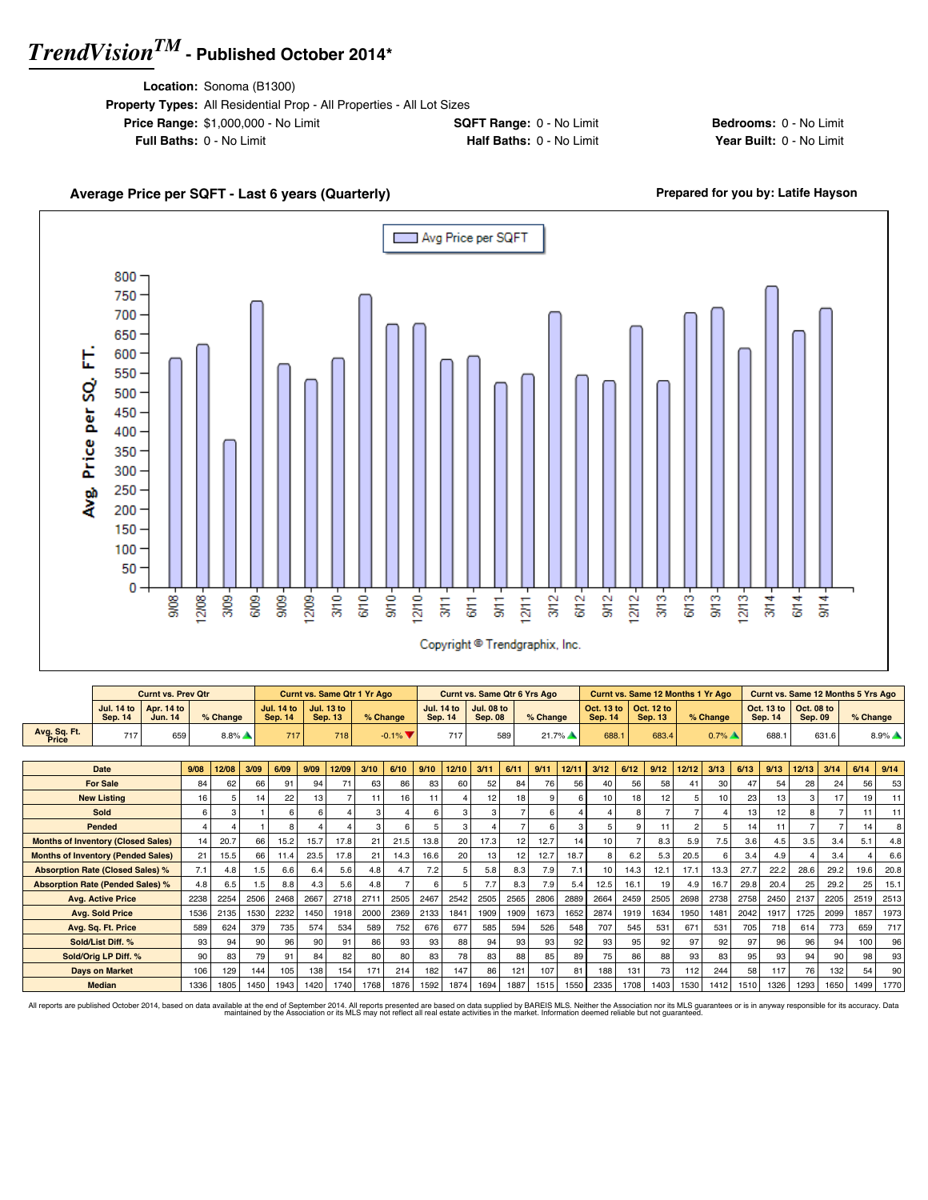**Location:** Sonoma (B1300)

| <b>Property Types:</b> All Residential Prop - All Properties - All Lot Sizes |                                 |
|------------------------------------------------------------------------------|---------------------------------|
| <b>Price Range: \$1,000,000 - No Limit</b>                                   | <b>SQFT Range: 0 - No Limit</b> |
| <b>Full Baths: 0 - No Limit</b>                                              | Half Baths: 0 - No Limit        |

**Bedrooms:** 0 - No Limit **Year Built: 0 - No Limit** 

#### Average Price per SQFT - Last 6 years (Quarterly) **Average Price per SQFT - Last 6 years (Quarterly) Prepared for you by: Latife Hayson** Avg Price per SQFT г 800 750 700 650 Avg. Price per SQ. FT. 600 550 500 450 400 350 300 250 200 150 100 50 0  $\frac{370}{5}$  $6/10 9/10 12/10 3/12 9/12 12/12 3<sup>13</sup>$  $6/13 12/13 9008$  $12/08$ 3/09 6/09  $909 -$ 12/09- $3/11$  $6/11$  $rac{1}{30}$  $1211 6/12$  $\frac{3}{2}$  $3/14$  $6/14$  $9/14$ Copyright <sup>@</sup> Trendgraphix, Inc.

|                                           |                                     | <b>Curnt vs. Prev Qtr</b>    |      |      |          |      |                                     |      | <b>Curnt vs. Same Qtr 1 Yr Ago</b>  |      |                               |      |                                     |                                     |      | <b>Curnt vs. Same Qtr 6 Yrs Ago</b> |       |                              |      | <b>Curnt vs. Same 12 Months 1 Yr Ago</b> |                |                     |      |                              | <b>Curnt vs. Same 12 Months 5 Yrs Ago</b> |                |          |                     |
|-------------------------------------------|-------------------------------------|------------------------------|------|------|----------|------|-------------------------------------|------|-------------------------------------|------|-------------------------------|------|-------------------------------------|-------------------------------------|------|-------------------------------------|-------|------------------------------|------|------------------------------------------|----------------|---------------------|------|------------------------------|-------------------------------------------|----------------|----------|---------------------|
|                                           | <b>Jul. 14 to</b><br><b>Sep. 14</b> | Apr. 14 to<br><b>Jun. 14</b> |      |      | % Change |      | <b>Jul. 14 to</b><br><b>Sep. 14</b> |      | <b>Jul. 13 to</b><br><b>Sep. 13</b> |      | % Change                      |      | <b>Jul. 14 to</b><br><b>Sep. 14</b> | <b>Jul. 08 to</b><br><b>Sep. 08</b> |      | % Change                            |       | Oct. 13 to<br><b>Sep. 14</b> |      | Oct. 12 to<br><b>Sep. 13</b>             |                | % Change            |      | Oct. 13 to<br><b>Sep. 14</b> | Oct. 08 to<br><b>Sep. 09</b>              |                | % Change |                     |
| Avg. Sq. Ft.<br>Price                     | 717                                 |                              | 659  |      | $8.8\%$  |      | 717                                 |      | 718                                 |      | $-0.1\%$ $\blacktriangledown$ |      | 717                                 |                                     | 589  |                                     | 21.7% | 688.1                        |      | 683.4                                    |                | $0.7\%$ $\triangle$ |      | 688.1                        |                                           | 631.6          |          | $8.9\%$ $\triangle$ |
|                                           |                                     |                              |      |      |          |      |                                     |      |                                     |      |                               |      |                                     |                                     |      |                                     |       |                              |      |                                          |                |                     |      |                              |                                           |                |          |                     |
|                                           | <b>Date</b>                         |                              | 9/08 |      | 12/08    | 3/09 | 6/09                                | 9/09 | 12/09                               | 3/10 | 6/10                          | 9/10 | 12/10                               | 3/11                                | 6/11 | 9/11                                | 12/11 | 3/12                         | 6/12 | 9/12                                     | 12/12          | 3/13                | 6/13 | 9/13                         | 12/13                                     | 3/14           | 6/14     | 9/14                |
|                                           | <b>For Sale</b>                     |                              |      | 84   | 62       | 66   | 91                                  | 94   | 71                                  | 63   | 86                            | 83   | 60                                  | 52                                  | 84   | 76                                  | 56    | 40                           | 56   | 58                                       | 41             | 30                  | 47   | 54                           | 28                                        | 24             | 56       | 53                  |
|                                           | <b>New Listing</b>                  |                              |      | 16   | 5        | 14   | 22                                  | 13   |                                     | 11   | 16                            | 11   |                                     | 12                                  | 18   |                                     | 6     | 10                           | 18   | 12                                       | 5              | 10                  | 23   | 13                           |                                           | 17             | 19       | 11                  |
|                                           | Sold                                |                              |      | 6    |          |      |                                     |      |                                     |      |                               | 6    | 3                                   | з                                   |      |                                     |       |                              |      |                                          |                |                     | 13   | 12                           |                                           |                | 11       | 11                  |
|                                           | Pended                              |                              |      |      |          |      |                                     |      |                                     | 3    | 6                             |      | 3                                   |                                     |      |                                     |       |                              | 9    | 11                                       | $\overline{c}$ |                     | 14   | 11                           |                                           | $\overline{ }$ | 14       |                     |
| <b>Months of Inventory (Closed Sales)</b> |                                     |                              |      | 14   | 20.7     | 66   | 15.2                                | 15.7 | 17.8                                | 21   | 21.5                          | 13.8 | 20                                  | 17.3                                | 12   | 12.7                                | 14    | 10                           |      | 8.3                                      | 5.9            | 7.5                 | 3.6  | 4.5                          | 3.5                                       | 3.4            | 5.1      | 4.8                 |
| <b>Months of Inventory (Pended Sales)</b> |                                     |                              |      | 21   | 15.5     | 66   | 11.4                                | 23.5 | 17.8                                | 21   | 14.3                          | 16.6 | 20                                  | 13                                  | 12   | 12.7                                | 18.7  |                              | 6.2  | 5.3                                      | 20.5           | 6                   | 3.4  | 4.9                          |                                           | 3.4            |          | 6.6                 |
| <b>Absorption Rate (Closed Sales) %</b>   |                                     |                              |      | 7.1  | 4.8      | 1.5  | 6.6                                 | 6.4  | 5.6                                 | 4.8  | 4.7                           | 7.2  | 5                                   | 5.8                                 | 8.3  | 7.9                                 | 7.1   | 10                           | 14.3 | 12.1                                     | 17.1           | 13.3                | 27.7 | 22.2                         | 28.6                                      | 29.2           | 19.6     | 20.8                |
| <b>Absorption Rate (Pended Sales) %</b>   |                                     |                              |      | 4.8  | 6.5      | 1.5  | 8.8                                 | 4.3  | 5.6                                 | 4.8  |                               | 6    |                                     | 7.7                                 | 8.3  | 7.9                                 | 5.4   | 12.5                         | 16.1 | 19                                       | 4.9            | 16.7                | 29.8 | 20.4                         | 25                                        | 29.2           | 25       | 15.1                |
|                                           | <b>Ava. Active Price</b>            |                              |      | 2238 | 2254     | 2506 | 2468                                | 2667 | 2718                                | 2711 | 2505                          | 2467 | 2542                                | 2505                                | 2565 | 2806                                | 2889  | 2664                         | 2459 | 2505                                     | 2698           | 2738                | 2758 | 2450                         | 2137                                      | 2205           | 2519     | 2513                |
|                                           | <b>Avg. Sold Price</b>              |                              |      | 1536 | 2135     | 1530 | 2232                                | 1450 | 1918                                | 2000 | 2369                          | 2133 | 1841                                | 1909                                | 1909 | 1673                                | 1652  | 2874                         | 1919 | 1634                                     | 1950           | 1481                | 2042 | 1917                         | 1725                                      | 2099           | 1857     | 1973                |
|                                           | Avg. Sq. Ft. Price                  |                              |      | 589  | 624      | 379  | 735                                 | 574  | 534                                 | 589  | 752                           | 676  | 677                                 | 585                                 | 594  | 526                                 | 548   | 707                          | 545  | 531                                      | 671            | 531                 | 705  | 718                          | 614                                       | 773            | 659      | 717                 |
|                                           | Sold/List Diff. %                   |                              |      | 93   | 94       | 90   | 96                                  | 90   | 91                                  | 86   | 93                            | 93   | 88                                  | 94                                  | 93   | 93                                  | 92    | 93                           | 95   | 92                                       | 97             | 92                  | 97   | 96                           | 96                                        | 94             | 100      | 96                  |
|                                           | Sold/Orig LP Diff. %                |                              |      | 90   | 83       | 79   | 91                                  | 84   | 82                                  | 80   | 80                            | 83   | 78                                  | 83                                  | 88   | 85                                  | 89    | 75                           | 86   | 88                                       | 93             | 83                  | 95   | 93                           | 94                                        | 90             | 98       | 93                  |
|                                           | <b>Days on Market</b>               |                              |      | 106  | 129      | 144  | 105                                 | 138  | 154                                 | 171  | 214                           | 182  | 147                                 | 86                                  | 121  | 107                                 | 81    | 188                          | 131  | 73                                       | 112            | 244                 | 58   | 117                          | 76                                        | 132            | 54       | 90                  |
|                                           | <b>Median</b>                       |                              |      | 1336 | 1805     | 1450 | 1943                                | 1420 | 1740                                | 1768 | 1876                          | 1592 | 1874                                | 1694                                | 1887 | 1515                                | 1550  | 2335                         | 1708 | 1403                                     | 1530           | 1412                | 1510 | 1326                         | 1293                                      | 1650           | 1499     | 1770                |

All reports are published October 2014, based on data available at the end of September 2014. All reports presented are based on data avaindanced by the Association or its MLS may not reflect all real estate activities in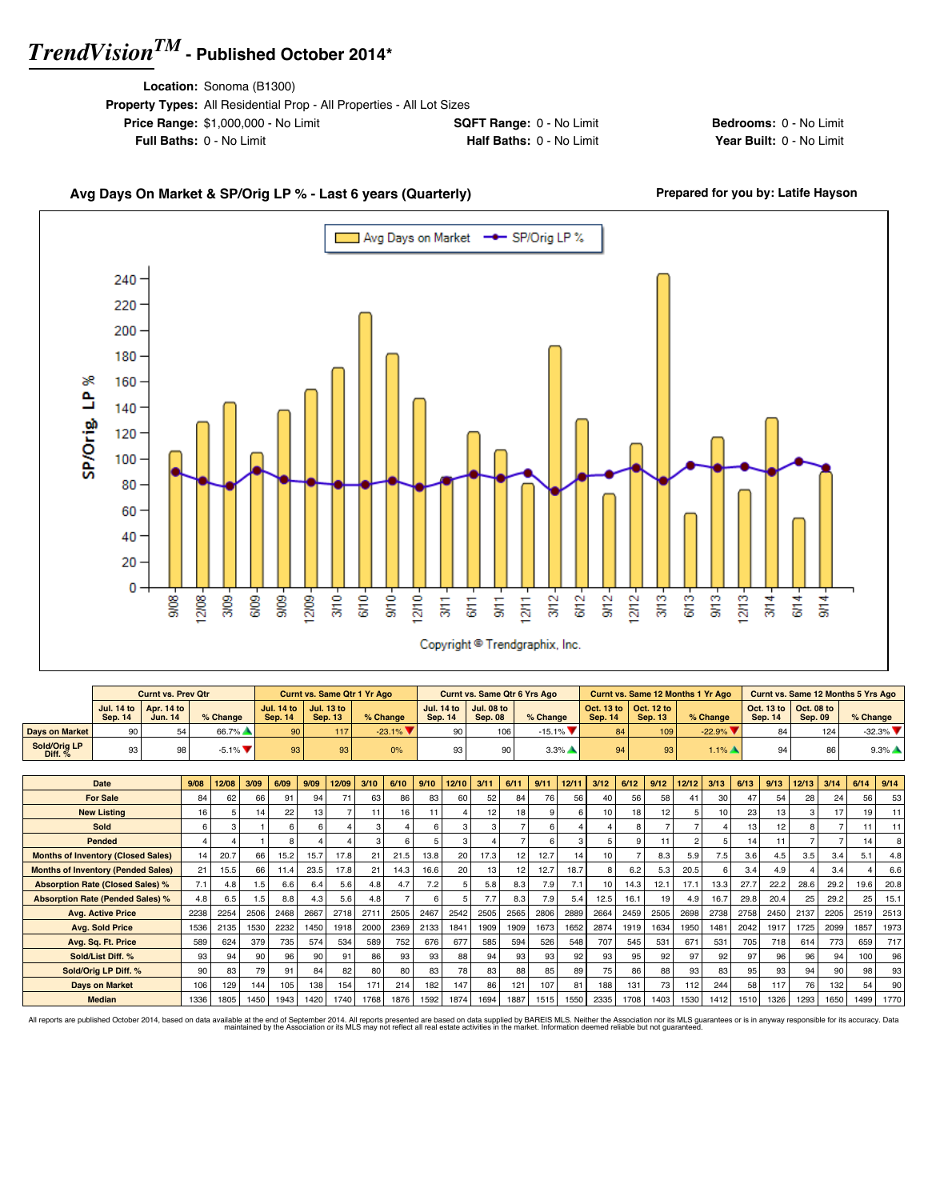**Location:** Sonoma (B1300)

| <b>Property Types:</b> All Residential Prop - All Properties - All Lot Sizes |                                 |
|------------------------------------------------------------------------------|---------------------------------|
| <b>Price Range: \$1,000,000 - No Limit</b>                                   | <b>SQFT Range: 0 - No Limit</b> |
| <b>Full Baths: 0 - No Limit</b>                                              | <b>Half Baths: 0 - No Limit</b> |

**Bedrooms:** 0 - No Limit **Year Built: 0 - No Limit** 

### Avg Days On Market & SP/Orig LP % - Last 6 years (Quarterly) **Prepared for you by: Latife Hayson**





|                           |                 | <b>Curnt vs. Prev Qtr</b>                               |                               |                 | <b>Curnt vs. Same Qtr 1 Yr Ago</b>          |           |                              | <b>Curnt vs. Same Qtr 6 Yrs Ago</b> |                                |         |                                                         | Curnt vs. Same 12 Months 1 Yr Ago |                |                                                         | <b>Curnt vs. Same 12 Months 5 Yrs Ago</b> |
|---------------------------|-----------------|---------------------------------------------------------|-------------------------------|-----------------|---------------------------------------------|-----------|------------------------------|-------------------------------------|--------------------------------|---------|---------------------------------------------------------|-----------------------------------|----------------|---------------------------------------------------------|-------------------------------------------|
|                           | <b>Sep. 14</b>  | Jul. 14 to $\vert$ Apr. 14 to $\vert$<br><b>Jun. 14</b> | $%$ Change                    | <b>Sep. 14</b>  | Jul. 14 to   Jul. 13 to  <br><b>Sep. 13</b> | % Change  | <b>Jul. 14 to</b><br>Sep. 14 | Jul. 08 to<br><b>Sep. 08</b>        | $%$ Change                     | Sep. 14 | Oct. 13 to $\vert$ Oct. 12 to $\vert$<br><b>Sep. 13</b> | $%$ Change                        | <b>Sep. 14</b> | Oct. 13 to $\vert$ Oct. 08 to $\vert$<br><b>Sep. 09</b> | $%$ Change                                |
| <b>Davs on Market</b>     | 90 <sup>1</sup> |                                                         | 66.7%                         | 90 <sup>1</sup> | 117                                         | $-23.1\%$ |                              | 106                                 | $-15.1\%$ $\blacktriangledown$ | 84      | 109                                                     | $-22.9%$                          | 84             | 124                                                     | $-32.3\%$                                 |
| Sold/Oria LP<br>Diff. $%$ | 93 <sub>1</sub> | 98                                                      | $-5.1\%$ $\blacktriangledown$ | 93 <sub>1</sub> | 93                                          | 0%        |                              |                                     | $3.3\%$                        | 94      | 93                                                      | $1.1\%$ $\rightarrow$             | 94             | 86                                                      | $9.3\%$                                   |

| Date                                      | 9/08 | 12/08 | 3/09 | 6/09 | 9/09 | 12/09 | 3/10 | 6/10 | 9/10 | 12/10 | 3/11 | 6/11            | 9/11 | 12/11 | 3/12            | 6/12 | 9/12 | 12/12          | 3/13 | 6/13             | 9/13 | 12/13 | 3/14 | 6/14 | 9/14 |
|-------------------------------------------|------|-------|------|------|------|-------|------|------|------|-------|------|-----------------|------|-------|-----------------|------|------|----------------|------|------------------|------|-------|------|------|------|
| <b>For Sale</b>                           | 84   | 62    | 66   | 91   | 94   | 71    | 63   | 86   | 83   | 60    | 52   | 84              | 76   | 56    | 40              | 56   | 58   |                | 30   | 47               | 54   | 28    | 24   | 56   | 53   |
| <b>New Listing</b>                        | 16   | 5     | 14   | 22   | 13   |       |      | 16   |      |       | 12   | 18 <sub>1</sub> |      |       | 10              | 18   | 12   |                | 10   | 23               | 13   |       | 17   | 19   |      |
| <b>Sold</b>                               | 6    | 3     |      |      |      |       |      |      | -6   | 3     |      |                 |      |       |                 |      |      |                |      | 13 <sub>1</sub>  | 12   |       |      |      | 11   |
| Pended                                    |      |       |      |      |      |       |      |      |      | 3     |      | $\overline{ }$  |      |       |                 |      | 11   | $\overline{c}$ | 5    | 14               | 11   |       |      | 14   |      |
| <b>Months of Inventory (Closed Sales)</b> | 14   | 20.7  | 66   | 15.2 | 15.7 | 17.8  | 21   | 21.5 | 13.8 | 20    | 17.3 | 12 <sub>1</sub> | 12.7 | 14    | 10 <sup>1</sup> |      | 8.3  | 5.9            | 7.5  | 3.6 <sub>1</sub> | 4.5  | 3.5   | 3.4  | 5.1  | 4.8  |
| <b>Months of Inventory (Pended Sales)</b> | 21   | 15.5  | 66   | 11.4 | 23.5 | 17.8  | 21   | 14.3 | 16.6 | 20    | 13   | 12              | 12.7 | 18.7  |                 | 6.2  | 5.3  | 20.5           | 6    | 3.4              | 4.9  |       | 3.4  |      | 6.6  |
| <b>Absorption Rate (Closed Sales) %</b>   | 7.1  | 4.8   | 1.5  | 6.6  | 6.4  | 5.6   | 4.8  | 4.7  | 7.2  | 5     | 5.8  | 8.3             | 7.9  | 7.1   | 10              | 14.3 | 12.1 | 17.1           | 13.3 | 27.7             | 22.2 | 28.6  | 29.2 | 19.6 | 20.8 |
| <b>Absorption Rate (Pended Sales) %</b>   | 4.8  | 6.5   | 1.5  | 8.8  | 4.3  | 5.6   | 4.8  |      | 6    |       |      | 8.3             | 7.9  | 5.4   | 12.5            | 16.1 | 19   | 4.9            | 16.7 | 29.8             | 20.4 | 25    | 29.2 | 25   | 15.1 |
| <b>Avg. Active Price</b>                  | 2238 | 2254  | 2506 | 2468 | 2667 | 2718  | 271  | 2505 | 2467 | 2542  | 2505 | 2565            | 2806 | 2889  | 2664            | 2459 | 2505 | 2698           | 2738 | 2758             | 2450 | 2137  | 2205 | 2519 | 2513 |
| <b>Avg. Sold Price</b>                    | 1536 | 2135  | 1530 | 2232 | 1450 | 1918  | 2000 | 2369 | 2133 | 1841  | 1909 | 1909            | 1673 | 1652  | 2874            | 1919 | 1634 | 1950           | 1481 | 2042             | 1917 | 1725  | 2099 | 1857 | 1973 |
| Avg. Sq. Ft. Price                        | 589  | 624   | 379  | 735  | 574  | 534   | 589  | 752  | 676  | 677   | 585  | 594             | 526  | 548   | 707             | 545  | 531  | 671            | 531  | 705              | 718  | 614   | 773  | 659  | 717  |
| Sold/List Diff. %                         | 93   | 94    | 90   | 96   | 90   | 91    | 86   | 93   | 93   | 88    | 94   | 93              | 93   | 92    | 93              | 95   | 92   | 97             | 92   | 97               | 96   | 96    | 94   | 100  | 96   |
| Sold/Orig LP Diff. %                      | 90   | 83    | 79   | 91   | 84   | 82    | 80   | 80   | 83   | 78    | 83   | 88              | 85   | 89    | 75              | 86   | 88   | 93             | 83   | 95               | 93   | 94    | 90   | 98   | 93   |
| <b>Days on Market</b>                     | 106  | 129   | 144  | 105  | 138  | 154   | 171  | 214  | 182  | 147   | 86   | 121             | 107  | 81    | 188             | 131  | 73   | 112            | 244  | 58               | 117  | 76    | 132  | 54   | 90   |
| <b>Median</b>                             | 1336 | 1805  | 1450 | 1943 | 1420 | 1740  | 1768 | 1876 | 1592 | 1874  | 1694 | 1887            | 1515 | 1550  | 2335            | 1708 | 1403 | 1530           | 1412 | 1510             | 1326 | 1293  | 1650 | 1499 | 1770 |

All reports are published October 2014, based on data available at the end of September 2014. All reports presented are based on data avapplied by the Association or its MLS may not reflect all real estate activities in th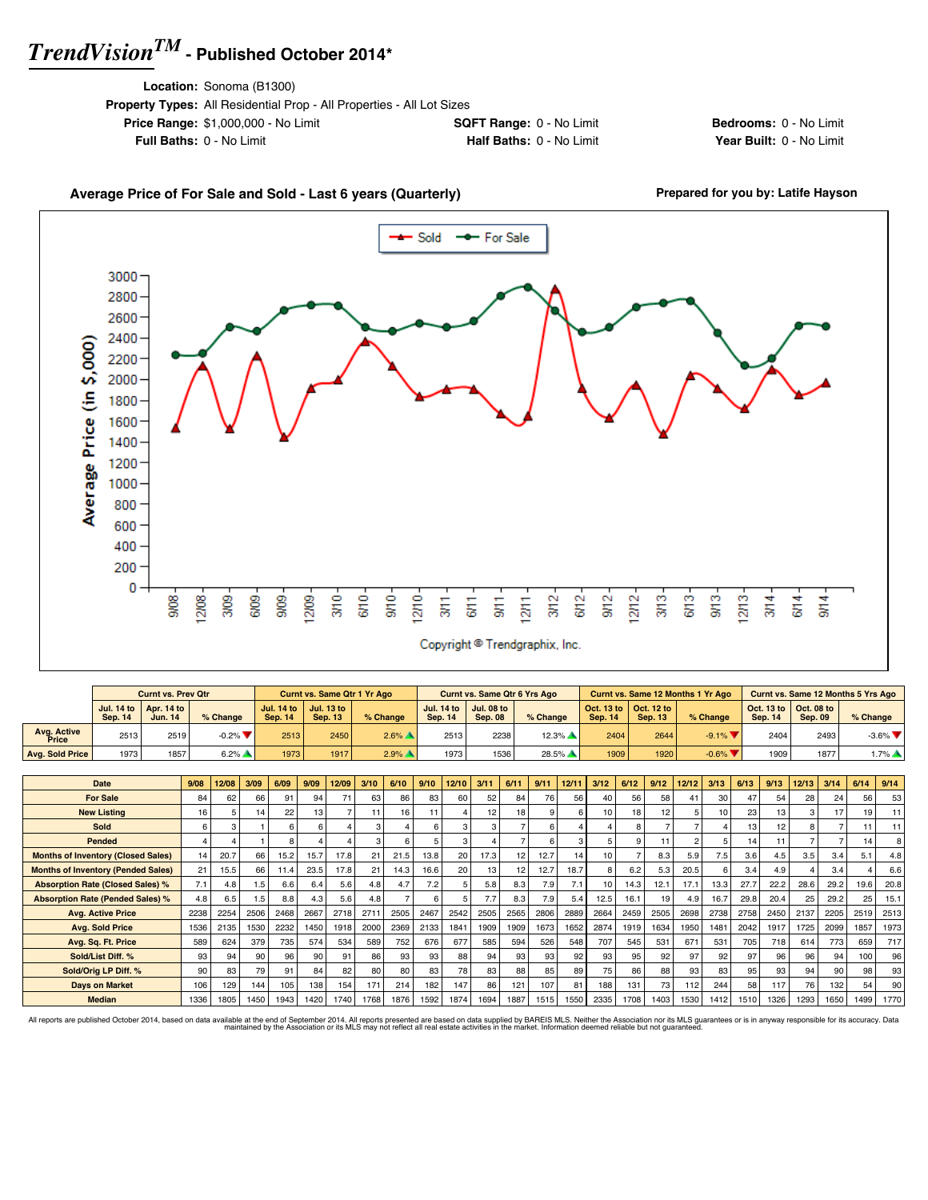**Location:** Sonoma (B1300)

| <b>Property Types:</b> All Residential Prop - All Properties - All Lot Sizes |                                 |
|------------------------------------------------------------------------------|---------------------------------|
| <b>Price Range: \$1,000,000 - No Limit</b>                                   | <b>SQFT Range: 0 - No Limit</b> |
| <b>Full Baths: 0 - No Limit</b>                                              | <b>Half Baths: 0 - No Limit</b> |
|                                                                              |                                 |

**Bedrooms:** 0 - No Limit **Year Built: 0 - No Limit** 

#### Average Price of For Sale and Sold - Last 6 years (Quarterly) **Prepared for you by: Latife Hayson**  $-$  Sold -- For Sale 3000 2800 2600 2400 Average Price (in \$,000) 2200 2000 1800 1600 1400 1200 1000 800 600 400 200 0  $\frac{8}{30}$ 12/08  $370 -$ G/10 $rac{1}{5}$ 12/10- $3/12$  $6/12$  $rac{2}{5}$  $12/12$  $3/13$ 6/13  $\frac{3}{15}$  $213 309.$ 2/09  $6/11$  $3/14$ 6/09  $909$  $9/1$  $1271$  $\frac{4}{3}$  $\frac{1}{3}$  $\frac{3}{5}$ Copyright <sup>@</sup> Trendgraphix, Inc.

|                      |         | <b>Curnt vs. Prev Qtr</b>                               |                               |                                   | <b>Curnt vs. Same Qtr 1 Yr Ago</b> |                     |                | <b>Curnt vs. Same Qtr 6 Yrs Ago</b>                     |            |                |                                                                 | Curnt vs. Same 12 Months 1 Yr Ago |                                                                 |                | Curnt vs. Same 12 Months 5 Yrs Ago |
|----------------------|---------|---------------------------------------------------------|-------------------------------|-----------------------------------|------------------------------------|---------------------|----------------|---------------------------------------------------------|------------|----------------|-----------------------------------------------------------------|-----------------------------------|-----------------------------------------------------------------|----------------|------------------------------------|
|                      | Sep. 14 | Jul. 14 to $\vert$ Apr. 14 to $\vert$<br><b>Jun. 14</b> | % Change                      | Jul. 14 to $\parallel$<br>Sep. 14 | Jul. 13 to<br><b>Sep. 13</b>       | % Change            | <b>Sep. 14</b> | Jul. 14 to $\vert$ Jul. 08 to $\vert$<br><b>Sep. 08</b> | $%$ Change | <b>Sep. 14</b> | $\vert$ Oct. 13 to $\vert$ Oct. 12 to $\vert$<br><b>Sep. 13</b> | % Change                          | $\vert$ Oct. 13 to $\vert$ Oct. 08 to $\vert$<br><b>Sep. 14</b> | <b>Sep. 09</b> | $%$ Change                         |
| Avg. Active<br>Price | 2513    | 2519                                                    | $-0.2\%$ $\blacktriangledown$ | 2513                              | 2450                               | $2.6\%$ $\triangle$ | 2513           | 2238                                                    | $12.3\%$   | 2404           | 2644                                                            | $-9.1\%$ $\blacktriangledown$     | 2404                                                            | 2493           | $-3.6\%$ $\blacktriangledown$      |
| Avg. Sold Price      | 1973    | 1857                                                    | $6.2\%$                       | 1973                              | 1917                               | 2.9%                | 1973           | 1536                                                    | 28.5%      | 1909           | 1920                                                            | $-0.6\%$                          | 1909                                                            | 1877           | $1.7\%$ $\triangle$                |

| <b>Date</b>                               | 9/08 | 12/08 | 3/09 | 6/09 | 9/09 | 12/09 | 3/10 | 6/10 | 9/10 | 12/10 | 3/11 | 6/11 | 9/11 | 12/11 | 3/12 | 6/12 | 9/12 | 12/12          | 3/13 | 6/13 | 9/13            | 12/13 | 3/14 | 6/14 | 9/14 |
|-------------------------------------------|------|-------|------|------|------|-------|------|------|------|-------|------|------|------|-------|------|------|------|----------------|------|------|-----------------|-------|------|------|------|
| <b>For Sale</b>                           | 84   |       | 66   | 91   | 94   | 71    | 63   | 86   | 83   | 60    | 52   |      | 76   | 56    |      | 56   | 58   |                | 30   | 47   | 54              | 28    | 24   | 56   |      |
|                                           |      | 62    |      |      |      |       |      |      |      |       |      | 84   |      |       | 40   |      |      | 41             |      |      |                 |       |      |      | 53   |
| <b>New Listing</b>                        | 16   |       | 14.  | 22   | 13   |       |      | 16   | 11   |       | 12   | 18   |      |       |      | 18   | 12   | 5              | 10   | 23   | 13              |       | 17   | 19   |      |
| <b>Sold</b>                               | 6    |       |      |      | 6    |       | 3    |      | 6    | 3     | 3    |      |      |       |      | 8    |      |                |      | 13   | 12 <sub>1</sub> |       |      |      |      |
| Pended                                    |      |       |      |      |      |       | з    |      | 5    | з     |      |      |      |       |      | 9    | 11   | $\mathfrak{p}$ |      | 14   | 11              |       |      | 14   |      |
| <b>Months of Inventory (Closed Sales)</b> | 14   | 20.7  | 66   | 15.2 | 15.7 | 17.8  | 21   | 21.5 | 13.8 | 20    | 17.3 | 12   | 12.7 | 14    |      |      | 8.3  | 5.9            | 7.5  | 3.6  | 4.5             | 3.5   | 3.4  | 5.1  | 4.8  |
| <b>Months of Inventory (Pended Sales)</b> | 21   | 15.5  | 66   | 11.4 | 23.5 | 17.8  | 21   | 14.3 | 16.6 | 20    | 13   | 12   | 12.7 | 18.7  |      | 6.2  | 5.3  | 20.5           | 6    | 3.4  | 4.9             |       | 3.4  |      | 6.6  |
| <b>Absorption Rate (Closed Sales) %</b>   | 7.1  | 4.8   | 1.5  | 6.6  | 6.4  | 5.6   | 4.8  | 4.7  | 7.2  |       | 5.8  | 8.3  | 7.9  | 7.1   |      | 14.3 | 12.1 | 17.1           | 13.3 | 27.7 | 22.2            | 28.6  | 29.2 | 19.6 | 20.8 |
| <b>Absorption Rate (Pended Sales) %</b>   | 4.8  | 6.5   | 1.5  | 8.8  | 4.3  | 5.6   | 4.8  |      | 6    |       | 7.7  | 8.3  | 7.9  | 5.4   | 12.5 | 16.1 | 19   | 4.9            | 16.7 | 29.8 | 20.4            | 25    | 29.2 | 25   | 15.1 |
| <b>Avg. Active Price</b>                  | 2238 | 2254  | 2506 | 2468 | 2667 | 2718  | 271  | 2505 | 2467 | 2542  | 2505 | 2565 | 2806 | 2889  | 2664 | 2459 | 2505 | 2698           | 2738 | 2758 | 2450            | 2137  | 2205 | 2519 | 2513 |
| <b>Avg. Sold Price</b>                    | 1536 | 2135  | 1530 | 2232 | 1450 | 1918  | 2000 | 2369 | 2133 | 1841  | 1909 | 1909 | 1673 | 1652  | 2874 | 1919 | 1634 | 1950           | 1481 | 2042 | 1917            | 1725  | 2099 | 1857 | 1973 |
| Avg. Sq. Ft. Price                        | 589  | 624   | 379  | 735  | 574  | 534   | 589  | 752  | 676  | 677   | 585  | 594  | 526  | 548   | 707  | 545  | 531  | 671            | 531  | 705  | 718             | 614   | 773  | 659  | 717  |
| Sold/List Diff. %                         | 93   | 94    | 90   | 96   | 90   | 91    | 86   | 93   | 93   | 88    | 94   | 93   | 93   | 92    | 93   | 95   | 92   | 97             | 92   | 97   | 96              | 96    | 94   | 100  | 96   |
| Sold/Orig LP Diff. %                      | 90   | 83    | 79   | 91   | 84   | 82    | 80   | 80   | 83   | 78    | 83   | 88   | 85   | 89    | 75   | 86   | 88   | 93             | 83   | 95   | 93              | 94    | 90   | 98   | 93   |
| <b>Days on Market</b>                     | 106  | 129   | 144  | 105  | 138  | 154   | 171  | 214  | 182  | 147   | 86   | 121  | 107  | 81    | 188  | 131  | 73   | 112            | 244  | 58   | 117             | 76    | 132  | 54   | 90   |
| <b>Median</b>                             | 1336 | 1805  | 1450 | 1943 | 1420 | 1740  | 1768 | 1876 | 1592 | 1874  | 1694 | 1887 | 1515 | 1550  | 2335 | 1708 | 1403 | 1530           | 1412 | 1510 | 1326            | 1293  | 1650 | 1499 | 1770 |

All reports are published October 2014, based on data available at the end of September 2014. All reports presented are based on data avapplied by the Association or its MLS may not reflect all real estate activities in th